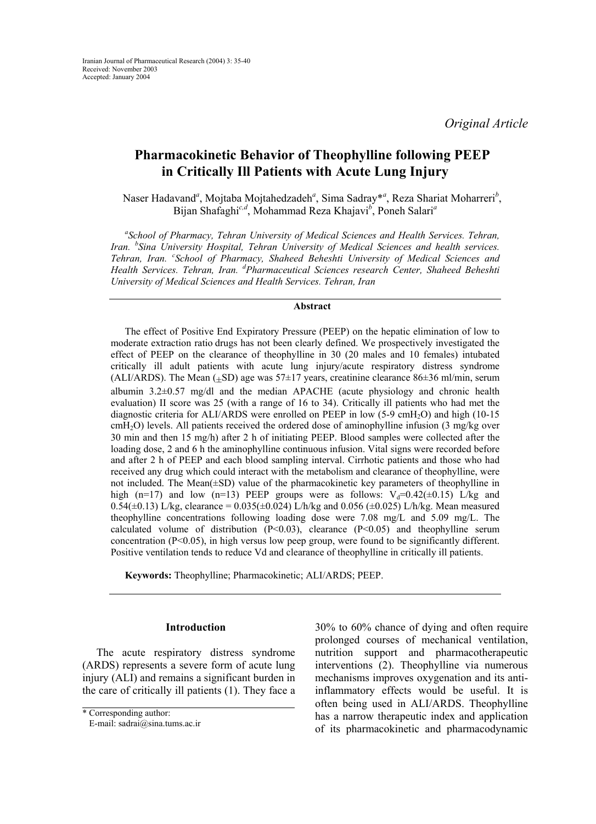# **Pharmacokinetic Behavior of Theophylline following PEEP in Critically Ill Patients with Acute Lung Injury**

Naser Hadavand<sup>a</sup>, Mojtaba Mojtahedzadeh<sup>a</sup>, Sima Sadray\*<sup>a</sup>, Reza Shariat Moharreri<sup>b</sup>, Bijan Shafaghi*c,d*, Mohammad Reza Khajavi*<sup>b</sup>* , Poneh Salari*<sup>a</sup>*

*a School of Pharmacy, Tehran University of Medical Sciences and Health Services. Tehran, Iran. <sup>b</sup> Sina University Hospital, Tehran University of Medical Sciences and health services. Tehran, Iran. <sup>c</sup> School of Pharmacy, Shaheed Beheshti University of Medical Sciences and Health Services. Tehran, Iran. <sup>d</sup> Pharmaceutical Sciences research Center, Shaheed Beheshti University of Medical Sciences and Health Services. Tehran, Iran* 

## **Abstract**

The effect of Positive End Expiratory Pressure (PEEP) on the hepatic elimination of low to moderate extraction ratio drugs has not been clearly defined. We prospectively investigated the effect of PEEP on the clearance of theophylline in 30 (20 males and 10 females) intubated critically ill adult patients with acute lung injury/acute respiratory distress syndrome (ALI/ARDS). The Mean  $(\pm SD)$  age was 57 $\pm 17$  years, creatinine clearance 86 $\pm 36$  ml/min, serum albumin 3.2±0.57 mg/dl and the median APACHE (acute physiology and chronic health evaluation) II score was 25 (with a range of 16 to 34). Critically ill patients who had met the diagnostic criteria for ALI/ARDS were enrolled on PEEP in low (5-9 cmH2O) and high (10-15  $cmH<sub>2</sub>O$ ) levels. All patients received the ordered dose of aminophylline infusion (3 mg/kg over 30 min and then 15 mg/h) after 2 h of initiating PEEP. Blood samples were collected after the loading dose, 2 and 6 h the aminophylline continuous infusion. Vital signs were recorded before and after 2 h of PEEP and each blood sampling interval. Cirrhotic patients and those who had received any drug which could interact with the metabolism and clearance of theophylline, were not included. The Mean(±SD) value of the pharmacokinetic key parameters of theophylline in high (n=17) and low (n=13) PEEP groups were as follows:  $V_d=0.42(\pm 0.15)$  L/kg and  $0.54(\pm 0.13)$  L/kg, clearance =  $0.035(\pm 0.024)$  L/h/kg and  $0.056(\pm 0.025)$  L/h/kg. Mean measured theophylline concentrations following loading dose were 7.08 mg/L and 5.09 mg/L. The calculated volume of distribution  $(P<0.03)$ , clearance  $(P<0.05)$  and theophylline serum concentration (P<0.05), in high versus low peep group, were found to be significantly different. Positive ventilation tends to reduce Vd and clearance of theophylline in critically ill patients.

**Keywords:** Theophylline; Pharmacokinetic; ALI/ARDS; PEEP.

# **Introduction**

The acute respiratory distress syndrome (ARDS) represents a severe form of acute lung injury (ALI) and remains a significant burden in the care of critically ill patients (1). They face a 30% to 60% chance of dying and often require prolonged courses of mechanical ventilation, nutrition support and pharmacotherapeutic interventions (2). Theophylline via numerous mechanisms improves oxygenation and its antiinflammatory effects would be useful. It is often being used in ALI/ARDS. Theophylline has a narrow therapeutic index and application of its pharmacokinetic and pharmacodynamic

<sup>\*</sup> Corresponding author:

E-mail: sadrai@sina.tums.ac.ir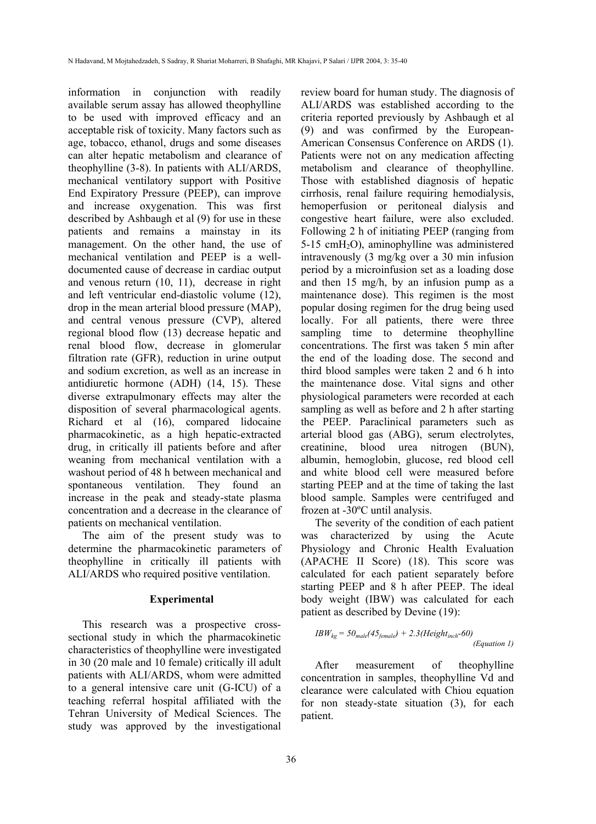information in conjunction with readily available serum assay has allowed theophylline to be used with improved efficacy and an acceptable risk of toxicity. Many factors such as age, tobacco, ethanol, drugs and some diseases can alter hepatic metabolism and clearance of theophylline (3-8). In patients with ALI/ARDS, mechanical ventilatory support with Positive End Expiratory Pressure (PEEP), can improve and increase oxygenation. This was first described by Ashbaugh et al (9) for use in these patients and remains a mainstay in its management. On the other hand, the use of mechanical ventilation and PEEP is a welldocumented cause of decrease in cardiac output and venous return (10, 11), decrease in right and left ventricular end-diastolic volume (12), drop in the mean arterial blood pressure (MAP), and central venous pressure (CVP), altered regional blood flow (13) decrease hepatic and renal blood flow, decrease in glomerular filtration rate (GFR), reduction in urine output and sodium excretion, as well as an increase in antidiuretic hormone (ADH) (14, 15). These diverse extrapulmonary effects may alter the disposition of several pharmacological agents. Richard et al (16), compared lidocaine pharmacokinetic, as a high hepatic-extracted drug, in critically ill patients before and after weaning from mechanical ventilation with a washout period of 48 h between mechanical and spontaneous ventilation. They found an increase in the peak and steady-state plasma concentration and a decrease in the clearance of patients on mechanical ventilation.

The aim of the present study was to determine the pharmacokinetic parameters of theophylline in critically ill patients with ALI/ARDS who required positive ventilation.

#### **Experimental**

This research was a prospective crosssectional study in which the pharmacokinetic characteristics of theophylline were investigated in 30 (20 male and 10 female) critically ill adult patients with ALI/ARDS, whom were admitted to a general intensive care unit (G-ICU) of a teaching referral hospital affiliated with the Tehran University of Medical Sciences. The study was approved by the investigational review board for human study. The diagnosis of ALI/ARDS was established according to the criteria reported previously by Ashbaugh et al (9) and was confirmed by the European-American Consensus Conference on ARDS (1). Patients were not on any medication affecting metabolism and clearance of theophylline. Those with established diagnosis of hepatic cirrhosis, renal failure requiring hemodialysis, hemoperfusion or peritoneal dialysis and congestive heart failure, were also excluded. Following 2 h of initiating PEEP (ranging from 5-15 cmH2O), aminophylline was administered intravenously (3 mg/kg over a 30 min infusion period by a microinfusion set as a loading dose and then 15 mg/h, by an infusion pump as a maintenance dose). This regimen is the most popular dosing regimen for the drug being used locally. For all patients, there were three sampling time to determine theophylline concentrations. The first was taken 5 min after the end of the loading dose. The second and third blood samples were taken 2 and 6 h into the maintenance dose. Vital signs and other physiological parameters were recorded at each sampling as well as before and 2 h after starting the PEEP. Paraclinical parameters such as arterial blood gas (ABG), serum electrolytes, creatinine, blood urea nitrogen (BUN), albumin, hemoglobin, glucose, red blood cell and white blood cell were measured before starting PEEP and at the time of taking the last blood sample. Samples were centrifuged and frozen at -30ºC until analysis.

The severity of the condition of each patient was characterized by using the Acute Physiology and Chronic Health Evaluation (APACHE II Score) (18). This score was calculated for each patient separately before starting PEEP and 8 h after PEEP. The ideal body weight (IBW) was calculated for each patient as described by Devine (19):

$$
IBW_{kg} = 50_{male} (45_{female}) + 2.3 (Height_{inch} - 60)
$$
  
(Equation 1)

After measurement of theophylline concentration in samples, theophylline Vd and clearance were calculated with Chiou equation for non steady-state situation (3), for each patient.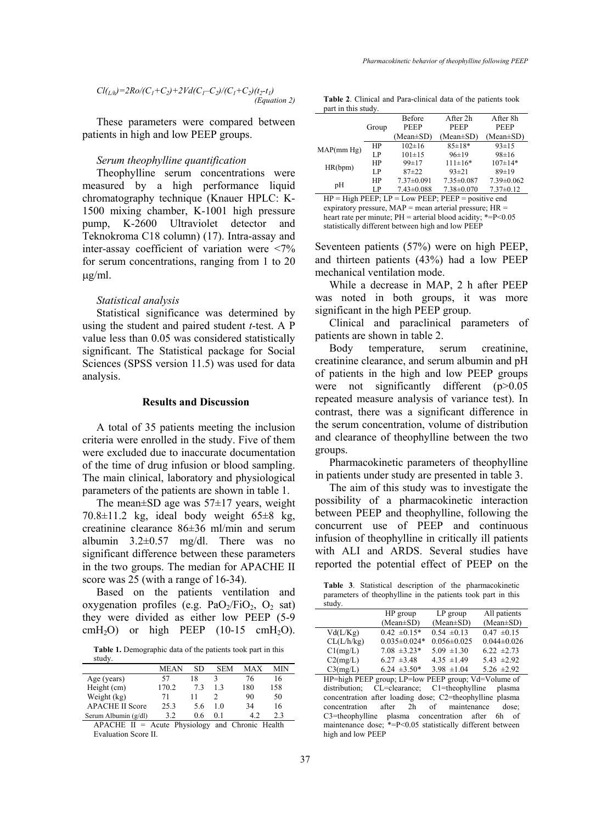$$
Cl_{(L/h)}=2Ro/(C_1+C_2)+2Vd(C_1-C_2)/(C_1+C_2)(t_2-t_1)
$$
\n(Equation 2)

These parameters were compared between patients in high and low PEEP groups.

#### *Serum theophylline quantification*

Theophylline serum concentrations were measured by a high performance liquid chromatography technique (Knauer HPLC: K-1500 mixing chamber, K-1001 high pressure pump, K-2600 Ultraviolet detector and Teknokroma C18 column) (17). Intra-assay and inter-assay coefficient of variation were <7% for serum concentrations, ranging from 1 to 20 µg/ml.

## *Statistical analysis*

Statistical significance was determined by using the student and paired student *t*-test. A P value less than 0.05 was considered statistically significant. The Statistical package for Social Sciences (SPSS version 11.5) was used for data analysis.

# **Results and Discussion**

A total of 35 patients meeting the inclusion criteria were enrolled in the study. Five of them were excluded due to inaccurate documentation of the time of drug infusion or blood sampling. The main clinical, laboratory and physiological parameters of the patients are shown in table 1.

The mean $\pm$ SD age was 57 $\pm$ 17 years, weight  $70.8 \pm 11.2$  kg, ideal body weight  $65 \pm 8$  kg, creatinine clearance 86±36 ml/min and serum albumin  $3.2 \pm 0.57$  mg/dl. There was no significant difference between these parameters in the two groups. The median for APACHE II score was 25 (with a range of 16-34).

Based on the patients ventilation and oxygenation profiles (e.g.  $PaO<sub>2</sub>/FiO<sub>2</sub>$ ,  $O<sub>2</sub>$  sat) they were divided as either low PEEP (5-9 cmH<sub>2</sub>O) or high PEEP  $(10-15 \text{ cmH}_2\text{O})$ .

**Table 1.** Demographic data of the patients took part in this study.

|                        | <b>MEAN</b> | SD  | <b>SEM</b> | <b>MAX</b> | МIN |
|------------------------|-------------|-----|------------|------------|-----|
| Age (years)            | 57          | 18  |            | 76         | 16  |
| Height (cm)            | 170.2       | 73  | 13         | 180        | 158 |
| Weight (kg)            | 71          |     |            | 90         | 50  |
| <b>APACHE II Score</b> | 25.3        | 5.6 | 10         | 34         | 16  |
| Serum Albumin (g/dl)   | 3.2         | 06  | 01         |            | 2.3 |

APACHE  $II =$  Acute Physiology and Chronic Health Evaluation Score II.

**Table 2**. Clinical and Para-clinical data of the patients took part in this study.

|            |       | Before           | After 2h         | After 8h         |
|------------|-------|------------------|------------------|------------------|
|            | Group | <b>PEEP</b>      | <b>PEEP</b>      | <b>PEEP</b>      |
|            |       | (Mean±SD)        | $(Mean \pm SD)$  | $(Mean \pm SD)$  |
| MAP(mm Hg) | HP    | $102 \pm 16$     | $85 \pm 18*$     | $93 \pm 15$      |
|            | LP.   | $101 \pm 15$     | 96±19            | $98 \pm 16$      |
| HR(bpm)    | HP    | $99 \pm 17$      | $111 \pm 16*$    | $107 \pm 14*$    |
|            | LP.   | $87 + 22$        | $93 \pm 21$      | 89±19            |
| pH         | HP    | $7.37 \pm 0.091$ | $7.35 \pm 0.087$ | $7.39 \pm 0.062$ |
|            | LP.   | $7.43 \pm 0.088$ | $7.38 \pm 0.070$ | $7.37 \pm 0.12$  |

 $HP = High PEEP$ ;  $LP = Low PEEP$ ;  $PEEP = positive$  end expiratory pressure, MAP = mean arterial pressure; HR = heart rate per minute;  $PH =$ arterial blood acidity; \*= $P \le 0.05$ statistically different between high and low PEEP

Seventeen patients (57%) were on high PEEP, and thirteen patients (43%) had a low PEEP mechanical ventilation mode.

While a decrease in MAP, 2 h after PEEP was noted in both groups, it was more significant in the high PEEP group.

Clinical and paraclinical parameters of patients are shown in table 2.

Body temperature, serum creatinine, creatinine clearance, and serum albumin and pH of patients in the high and low PEEP groups were not significantly different (p>0.05 repeated measure analysis of variance test). In contrast, there was a significant difference in the serum concentration, volume of distribution and clearance of theophylline between the two groups.

Pharmacokinetic parameters of theophylline in patients under study are presented in table 3.

The aim of this study was to investigate the possibility of a pharmacokinetic interaction between PEEP and theophylline, following the concurrent use of PEEP and continuous infusion of theophylline in critically ill patients with ALI and ARDS. Several studies have reported the potential effect of PEEP on the

**Table 3**. Statistical description of the pharmacokinetic parameters of theophylline in the patients took part in this study.

|                                                     | HP group           | $LP$ group        | All patients      |  |  |
|-----------------------------------------------------|--------------------|-------------------|-------------------|--|--|
|                                                     | $(Mean \pm SD)$    | $(Mean \pm SD)$   | $(Mean \pm SD)$   |  |  |
| Vd(L/Kg)                                            | $0.42 \pm 0.15*$   | $0.54 \pm 0.13$   | $0.47 \pm 0.15$   |  |  |
| CL(L/h/kg)                                          | $0.035 \pm 0.024*$ | $0.056 \pm 0.025$ | $0.044 \pm 0.026$ |  |  |
| Cl(mg/L)                                            | $7.08 \pm 3.23*$   | $5.09 \pm 1.30$   | $6.22 \pm 2.73$   |  |  |
| C2(mg/L)                                            | $6.27 \pm 3.48$    | $4.35 \pm 1.49$   | 5.43 $\pm 2.92$   |  |  |
| C3(mg/L)                                            | $6.24 \pm 3.50^*$  | $3.98 \pm 1.04$   | $5.26 \pm 2.92$   |  |  |
| HP=high PEEP group; LP=low PEEP group; Vd=Volume of |                    |                   |                   |  |  |

distribution; CL=clearance; C1=theophylline plasma concentration after loading dose; C2=theophylline plasma concentration after 2h of maintenance dose; C3=theophylline plasma concentration after 6h of maintenance dose; \*=P<0.05 statistically different between high and low PEEP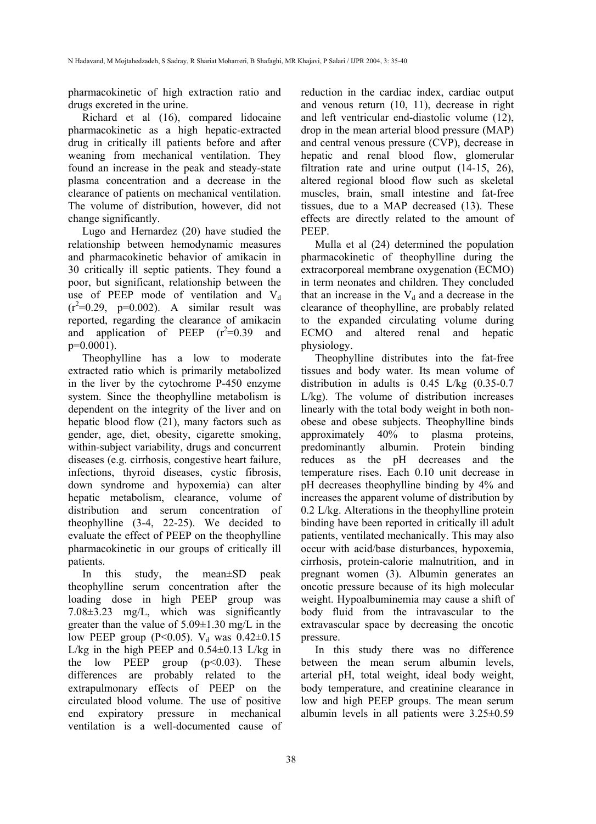pharmacokinetic of high extraction ratio and drugs excreted in the urine.

Richard et al (16), compared lidocaine pharmacokinetic as a high hepatic-extracted drug in critically ill patients before and after weaning from mechanical ventilation. They found an increase in the peak and steady-state plasma concentration and a decrease in the clearance of patients on mechanical ventilation. The volume of distribution, however, did not change significantly.

Lugo and Hernardez (20) have studied the relationship between hemodynamic measures and pharmacokinetic behavior of amikacin in 30 critically ill septic patients. They found a poor, but significant, relationship between the use of PEEP mode of ventilation and  $V_d$  $(r^2=0.29, p=0.002)$ . A similar result was reported, regarding the clearance of amikacin and application of PEEP  $(r^2=0.39)$  and  $p=0.0001$ ).

Theophylline has a low to moderate extracted ratio which is primarily metabolized in the liver by the cytochrome P-450 enzyme system. Since the theophylline metabolism is dependent on the integrity of the liver and on hepatic blood flow (21), many factors such as gender, age, diet, obesity, cigarette smoking, within-subject variability, drugs and concurrent diseases (e.g. cirrhosis, congestive heart failure, infections, thyroid diseases, cystic fibrosis, down syndrome and hypoxemia) can alter hepatic metabolism, clearance, volume of distribution and serum concentration of theophylline (3-4, 22-25). We decided to evaluate the effect of PEEP on the theophylline pharmacokinetic in our groups of critically ill patients.

In this study, the mean±SD peak theophylline serum concentration after the loading dose in high PEEP group was 7.08±3.23 mg/L, which was significantly greater than the value of  $5.09 \pm 1.30$  mg/L in the low PEEP group (P<0.05).  $V_d$  was 0.42±0.15 L/kg in the high PEEP and  $0.54\pm0.13$  L/kg in the low PEEP group  $(p<0.03)$ . These differences are probably related to the extrapulmonary effects of PEEP on the circulated blood volume. The use of positive end expiratory pressure in mechanical ventilation is a well-documented cause of reduction in the cardiac index, cardiac output and venous return (10, 11), decrease in right and left ventricular end-diastolic volume (12), drop in the mean arterial blood pressure (MAP) and central venous pressure (CVP), decrease in hepatic and renal blood flow, glomerular filtration rate and urine output (14-15, 26), altered regional blood flow such as skeletal muscles, brain, small intestine and fat-free tissues, due to a MAP decreased (13). These effects are directly related to the amount of PEEP.

Mulla et al (24) determined the population pharmacokinetic of theophylline during the extracorporeal membrane oxygenation (ECMO) in term neonates and children. They concluded that an increase in the  $V_d$  and a decrease in the clearance of theophylline, are probably related to the expanded circulating volume during ECMO and altered renal and hepatic physiology.

Theophylline distributes into the fat-free tissues and body water. Its mean volume of distribution in adults is 0.45 L/kg (0.35-0.7 L/kg). The volume of distribution increases linearly with the total body weight in both nonobese and obese subjects. Theophylline binds approximately 40% to plasma proteins, predominantly albumin. Protein binding reduces as the pH decreases and the temperature rises. Each 0.10 unit decrease in pH decreases theophylline binding by 4% and increases the apparent volume of distribution by 0.2 L/kg. Alterations in the theophylline protein binding have been reported in critically ill adult patients, ventilated mechanically. This may also occur with acid/base disturbances, hypoxemia, cirrhosis, protein-calorie malnutrition, and in pregnant women (3). Albumin generates an oncotic pressure because of its high molecular weight. Hypoalbuminemia may cause a shift of body fluid from the intravascular to the extravascular space by decreasing the oncotic pressure.

In this study there was no difference between the mean serum albumin levels, arterial pH, total weight, ideal body weight, body temperature, and creatinine clearance in low and high PEEP groups. The mean serum albumin levels in all patients were 3.25±0.59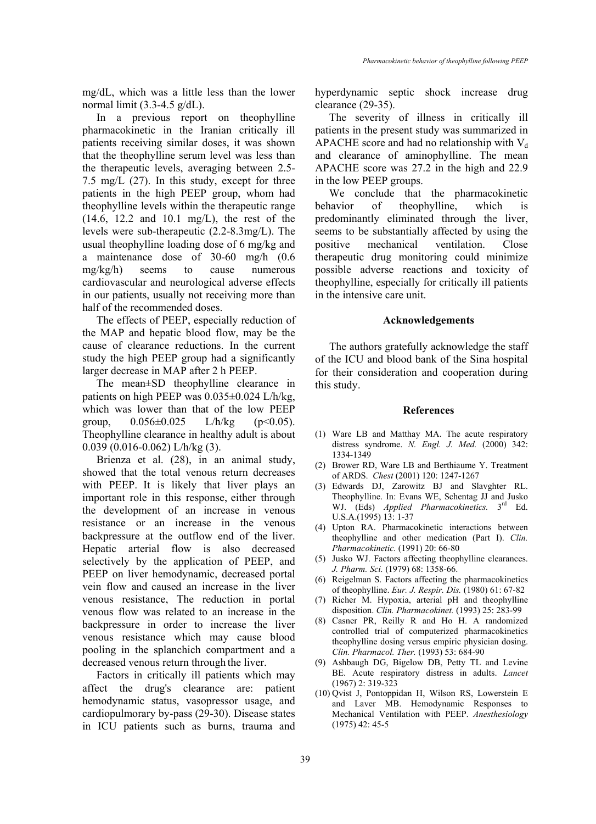mg/dL, which was a little less than the lower normal limit  $(3.3-4.5 \text{ g/dL})$ .

In a previous report on theophylline pharmacokinetic in the Iranian critically ill patients receiving similar doses, it was shown that the theophylline serum level was less than the therapeutic levels, averaging between 2.5- 7.5 mg/L (27). In this study, except for three patients in the high PEEP group, whom had theophylline levels within the therapeutic range (14.6, 12.2 and 10.1 mg/L), the rest of the levels were sub-therapeutic (2.2-8.3mg/L). The usual theophylline loading dose of 6 mg/kg and a maintenance dose of 30-60 mg/h (0.6 mg/kg/h) seems to cause numerous cardiovascular and neurological adverse effects in our patients, usually not receiving more than half of the recommended doses.

The effects of PEEP, especially reduction of the MAP and hepatic blood flow, may be the cause of clearance reductions. In the current study the high PEEP group had a significantly larger decrease in MAP after 2 h PEEP.

The mean±SD theophylline clearance in patients on high PEEP was 0.035±0.024 L/h/kg, which was lower than that of the low PEEP group,  $0.056 \pm 0.025$  L/h/kg (p<0.05). Theophylline clearance in healthy adult is about  $0.039$  (0.016-0.062) L/h/kg (3).

Brienza et al. (28), in an animal study, showed that the total venous return decreases with PEEP. It is likely that liver plays an important role in this response, either through the development of an increase in venous resistance or an increase in the venous backpressure at the outflow end of the liver. Hepatic arterial flow is also decreased selectively by the application of PEEP, and PEEP on liver hemodynamic, decreased portal vein flow and caused an increase in the liver venous resistance, The reduction in portal venous flow was related to an increase in the backpressure in order to increase the liver venous resistance which may cause blood pooling in the splanchich compartment and a decreased venous return through the liver.

Factors in critically ill patients which may affect the drug's clearance are: patient hemodynamic status, vasopressor usage, and cardiopulmorary by-pass (29-30). Disease states in ICU patients such as burns, trauma and hyperdynamic septic shock increase drug clearance (29-35).

The severity of illness in critically ill patients in the present study was summarized in APACHE score and had no relationship with  $V_d$ and clearance of aminophylline. The mean APACHE score was 27.2 in the high and 22.9 in the low PEEP groups.

We conclude that the pharmacokinetic behavior of theophylline, which is predominantly eliminated through the liver, seems to be substantially affected by using the positive mechanical ventilation. Close therapeutic drug monitoring could minimize possible adverse reactions and toxicity of theophylline, especially for critically ill patients in the intensive care unit.

## **Acknowledgements**

The authors gratefully acknowledge the staff of the ICU and blood bank of the Sina hospital for their consideration and cooperation during this study.

#### **References**

- (1) Ware LB and Matthay MA. The acute respiratory distress syndrome. *N. Engl. J. Med.* (2000) 342: 1334-1349
- (2) Brower RD, Ware LB and Berthiaume Y. Treatment of ARDS. *Chest* (2001) 120: 1247-1267
- (3) Edwards DJ, Zarowitz BJ and Slavghter RL. Theophylline. In: Evans WE, Schentag JJ and Jusko WJ. (Eds) *Applied Pharmacokinetics.* 3rd Ed. U.S.A.(1995) 13: 1-37
- (4) Upton RA. Pharmacokinetic interactions between theophylline and other medication (Part I). *Clin. Pharmacokinetic.* (1991) 20: 66-80
- (5) Jusko WJ. Factors affecting theophylline clearances. *J. Pharm. Sci.* (1979) 68: 1358-66.
- (6) Reigelman S. Factors affecting the pharmacokinetics of theophylline. *Eur. J. Respir. Dis.* (1980) 61: 67-82
- (7) Richer M. Hypoxia, arterial pH and theophylline disposition. *Clin. Pharmacokinet.* (1993) 25: 283-99
- (8) Casner PR, Reilly R and Ho H. A randomized controlled trial of computerized pharmacokinetics theophylline dosing versus empiric physician dosing. *Clin. Pharmacol. Ther.* (1993) 53: 684-90
- (9) Ashbaugh DG, Bigelow DB, Petty TL and Levine BE. Acute respiratory distress in adults. *Lancet* (1967) 2: 319-323
- (10) Qvist J, Pontoppidan H, Wilson RS, Lowerstein E and Laver MB. Hemodynamic Responses to Mechanical Ventilation with PEEP. *Anesthesiology* (1975) 42: 45-5